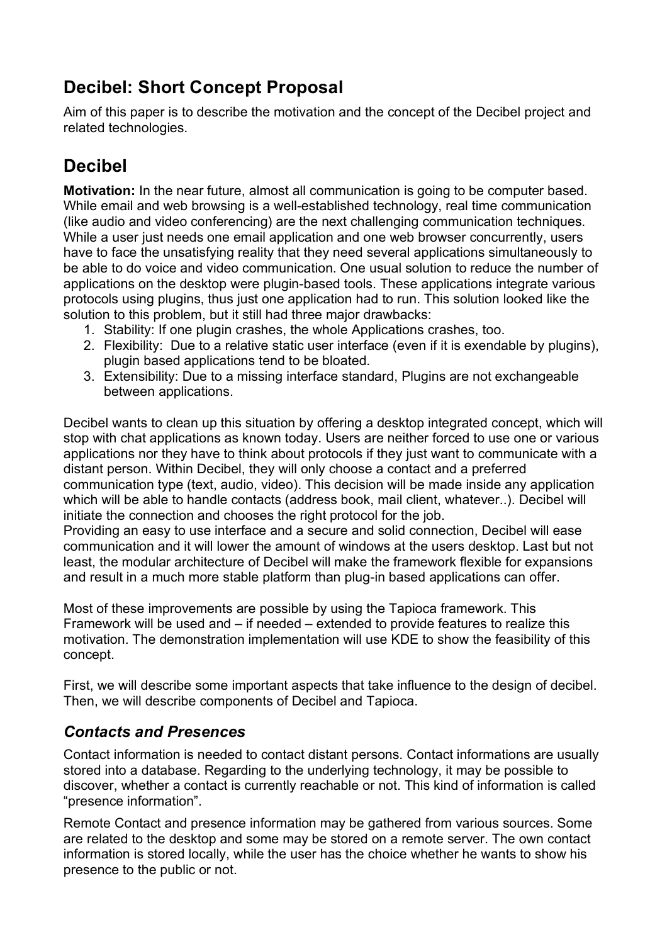# **Decibel: Short Concept Proposal**

Aim of this paper is to describe the motivation and the concept of the Decibel project and related technologies.

# **Decibel**

**Motivation:** In the near future, almost all communication is going to be computer based. While email and web browsing is a well-established technology, real time communication (like audio and video conferencing) are the next challenging communication techniques. While a user just needs one email application and one web browser concurrently, users have to face the unsatisfying reality that they need several applications simultaneously to be able to do voice and video communication. One usual solution to reduce the number of applications on the desktop were plugin-based tools. These applications integrate various protocols using plugins, thus just one application had to run. This solution looked like the solution to this problem, but it still had three major drawbacks:

- 1. Stability: If one plugin crashes, the whole Applications crashes, too.
- 2. Flexibility: Due to a relative static user interface (even if it is exendable by plugins), plugin based applications tend to be bloated.
- 3. Extensibility: Due to a missing interface standard, Plugins are not exchangeable between applications.

Decibel wants to clean up this situation by offering a desktop integrated concept, which will stop with chat applications as known today. Users are neither forced to use one or various applications nor they have to think about protocols if they just want to communicate with a distant person. Within Decibel, they will only choose a contact and a preferred communication type (text, audio, video). This decision will be made inside any application which will be able to handle contacts (address book, mail client, whatever..). Decibel will initiate the connection and chooses the right protocol for the job.

Providing an easy to use interface and a secure and solid connection, Decibel will ease communication and it will lower the amount of windows at the users desktop. Last but not least, the modular architecture of Decibel will make the framework flexible for expansions and result in a much more stable platform than plug-in based applications can offer.

Most of these improvements are possible by using the Tapioca framework. This Framework will be used and – if needed – extended to provide features to realize this motivation. The demonstration implementation will use KDE to show the feasibility of this concept.

First, we will describe some important aspects that take influence to the design of decibel. Then, we will describe components of Decibel and Tapioca.

## *Contacts and Presences*

Contact information is needed to contact distant persons. Contact informations are usually stored into a database. Regarding to the underlying technology, it may be possible to discover, whether a contact is currently reachable or not. This kind of information is called "presence information".

Remote Contact and presence information may be gathered from various sources. Some are related to the desktop and some may be stored on a remote server. The own contact information is stored locally, while the user has the choice whether he wants to show his presence to the public or not.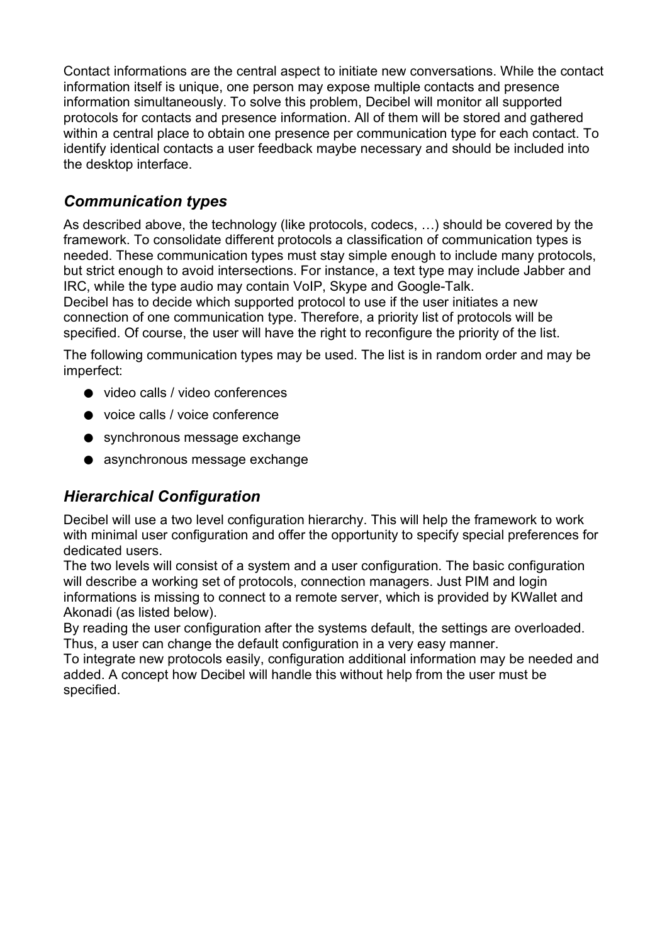Contact informations are the central aspect to initiate new conversations. While the contact information itself is unique, one person may expose multiple contacts and presence information simultaneously. To solve this problem, Decibel will monitor all supported protocols for contacts and presence information. All of them will be stored and gathered within a central place to obtain one presence per communication type for each contact. To identify identical contacts a user feedback maybe necessary and should be included into the desktop interface.

## *Communication types*

As described above, the technology (like protocols, codecs, …) should be covered by the framework. To consolidate different protocols a classification of communication types is needed. These communication types must stay simple enough to include many protocols, but strict enough to avoid intersections. For instance, a text type may include Jabber and IRC, while the type audio may contain VoIP, Skype and Google-Talk.

Decibel has to decide which supported protocol to use if the user initiates a new connection of one communication type. Therefore, a priority list of protocols will be specified. Of course, the user will have the right to reconfigure the priority of the list.

The following communication types may be used. The list is in random order and may be imperfect:

- video calls / video conferences
- voice calls / voice conference
- synchronous message exchange
- asynchronous message exchange

# *Hierarchical Configuration*

Decibel will use a two level configuration hierarchy. This will help the framework to work with minimal user configuration and offer the opportunity to specify special preferences for dedicated users.

The two levels will consist of a system and a user configuration. The basic configuration will describe a working set of protocols, connection managers. Just PIM and login informations is missing to connect to a remote server, which is provided by KWallet and Akonadi (as listed below).

By reading the user configuration after the systems default, the settings are overloaded. Thus, a user can change the default configuration in a very easy manner.

To integrate new protocols easily, configuration additional information may be needed and added. A concept how Decibel will handle this without help from the user must be specified.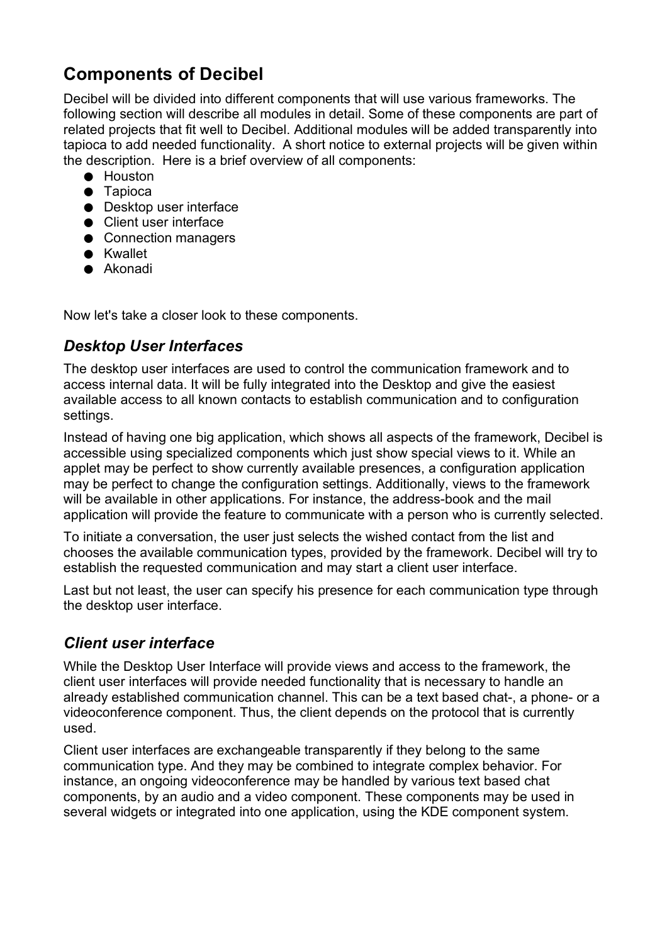# **Components of Decibel**

Decibel will be divided into different components that will use various frameworks. The following section will describe all modules in detail. Some of these components are part of related projects that fit well to Decibel. Additional modules will be added transparently into tapioca to add needed functionality. A short notice to external projects will be given within the description. Here is a brief overview of all components:

- Houston
- Tapioca
- Desktop user interface
- Client user interface
- Connection managers
- Kwallet
- Akonadi

Now let's take a closer look to these components.

## *Desktop User Interfaces*

The desktop user interfaces are used to control the communication framework and to access internal data. It will be fully integrated into the Desktop and give the easiest available access to all known contacts to establish communication and to configuration settings.

Instead of having one big application, which shows all aspects of the framework, Decibel is accessible using specialized components which just show special views to it. While an applet may be perfect to show currently available presences, a configuration application may be perfect to change the configuration settings. Additionally, views to the framework will be available in other applications. For instance, the address-book and the mail application will provide the feature to communicate with a person who is currently selected.

To initiate a conversation, the user just selects the wished contact from the list and chooses the available communication types, provided by the framework. Decibel will try to establish the requested communication and may start a client user interface.

Last but not least, the user can specify his presence for each communication type through the desktop user interface.

## *Client user interface*

While the Desktop User Interface will provide views and access to the framework, the client user interfaces will provide needed functionality that is necessary to handle an already established communication channel. This can be a text based chat-, a phone- or a videoconference component. Thus, the client depends on the protocol that is currently used.

Client user interfaces are exchangeable transparently if they belong to the same communication type. And they may be combined to integrate complex behavior. For instance, an ongoing videoconference may be handled by various text based chat components, by an audio and a video component. These components may be used in several widgets or integrated into one application, using the KDE component system.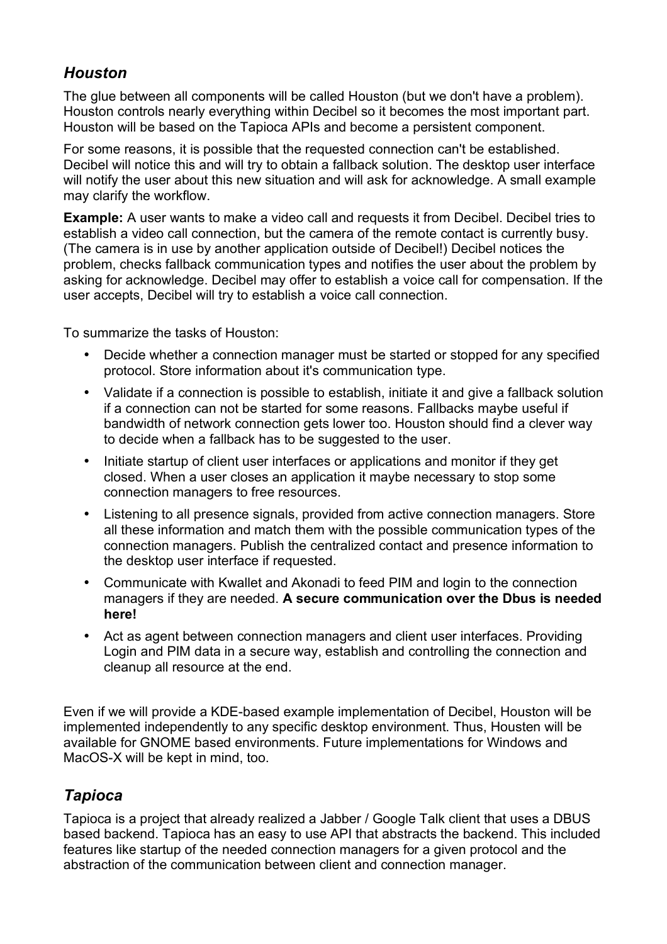## *Houston*

The glue between all components will be called Houston (but we don't have a problem). Houston controls nearly everything within Decibel so it becomes the most important part. Houston will be based on the Tapioca APIs and become a persistent component.

For some reasons, it is possible that the requested connection can't be established. Decibel will notice this and will try to obtain a fallback solution. The desktop user interface will notify the user about this new situation and will ask for acknowledge. A small example may clarify the workflow.

**Example:** A user wants to make a video call and requests it from Decibel. Decibel tries to establish a video call connection, but the camera of the remote contact is currently busy. (The camera is in use by another application outside of Decibel!) Decibel notices the problem, checks fallback communication types and notifies the user about the problem by asking for acknowledge. Decibel may offer to establish a voice call for compensation. If the user accepts, Decibel will try to establish a voice call connection.

To summarize the tasks of Houston:

- Decide whether a connection manager must be started or stopped for any specified protocol. Store information about it's communication type.
- Validate if a connection is possible to establish, initiate it and give a fallback solution if a connection can not be started for some reasons. Fallbacks maybe useful if bandwidth of network connection gets lower too. Houston should find a clever way to decide when a fallback has to be suggested to the user.
- Initiate startup of client user interfaces or applications and monitor if they get closed. When a user closes an application it maybe necessary to stop some connection managers to free resources.
- Listening to all presence signals, provided from active connection managers. Store all these information and match them with the possible communication types of the connection managers. Publish the centralized contact and presence information to the desktop user interface if requested.
- Communicate with Kwallet and Akonadi to feed PIM and login to the connection managers if they are needed. **A secure communication over the Dbus is needed here!**
- Act as agent between connection managers and client user interfaces. Providing Login and PIM data in a secure way, establish and controlling the connection and cleanup all resource at the end.

Even if we will provide a KDE-based example implementation of Decibel, Houston will be implemented independently to any specific desktop environment. Thus, Housten will be available for GNOME based environments. Future implementations for Windows and MacOS-X will be kept in mind, too.

# *Tapioca*

Tapioca is a project that already realized a Jabber / Google Talk client that uses a DBUS based backend. Tapioca has an easy to use API that abstracts the backend. This included features like startup of the needed connection managers for a given protocol and the abstraction of the communication between client and connection manager.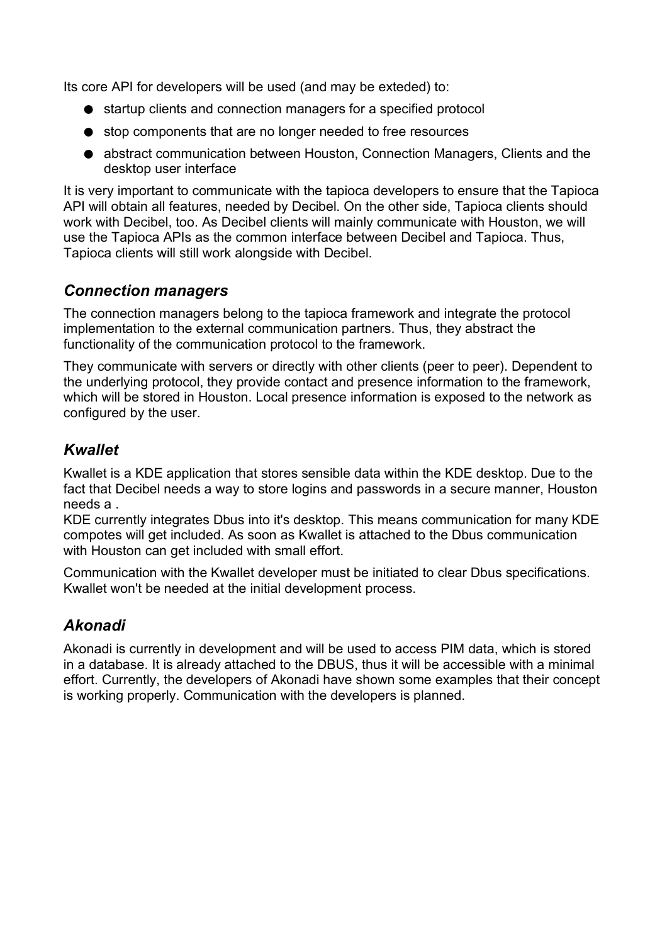Its core API for developers will be used (and may be exteded) to:

- startup clients and connection managers for a specified protocol
- stop components that are no longer needed to free resources
- abstract communication between Houston, Connection Managers, Clients and the desktop user interface

It is very important to communicate with the tapioca developers to ensure that the Tapioca API will obtain all features, needed by Decibel. On the other side, Tapioca clients should work with Decibel, too. As Decibel clients will mainly communicate with Houston, we will use the Tapioca APIs as the common interface between Decibel and Tapioca. Thus, Tapioca clients will still work alongside with Decibel.

## *Connection managers*

The connection managers belong to the tapioca framework and integrate the protocol implementation to the external communication partners. Thus, they abstract the functionality of the communication protocol to the framework.

They communicate with servers or directly with other clients (peer to peer). Dependent to the underlying protocol, they provide contact and presence information to the framework, which will be stored in Houston. Local presence information is exposed to the network as configured by the user.

## *Kwallet*

Kwallet is a KDE application that stores sensible data within the KDE desktop. Due to the fact that Decibel needs a way to store logins and passwords in a secure manner, Houston needs a .

KDE currently integrates Dbus into it's desktop. This means communication for many KDE compotes will get included. As soon as Kwallet is attached to the Dbus communication with Houston can get included with small effort.

Communication with the Kwallet developer must be initiated to clear Dbus specifications. Kwallet won't be needed at the initial development process.

## *Akonadi*

Akonadi is currently in development and will be used to access PIM data, which is stored in a database. It is already attached to the DBUS, thus it will be accessible with a minimal effort. Currently, the developers of Akonadi have shown some examples that their concept is working properly. Communication with the developers is planned.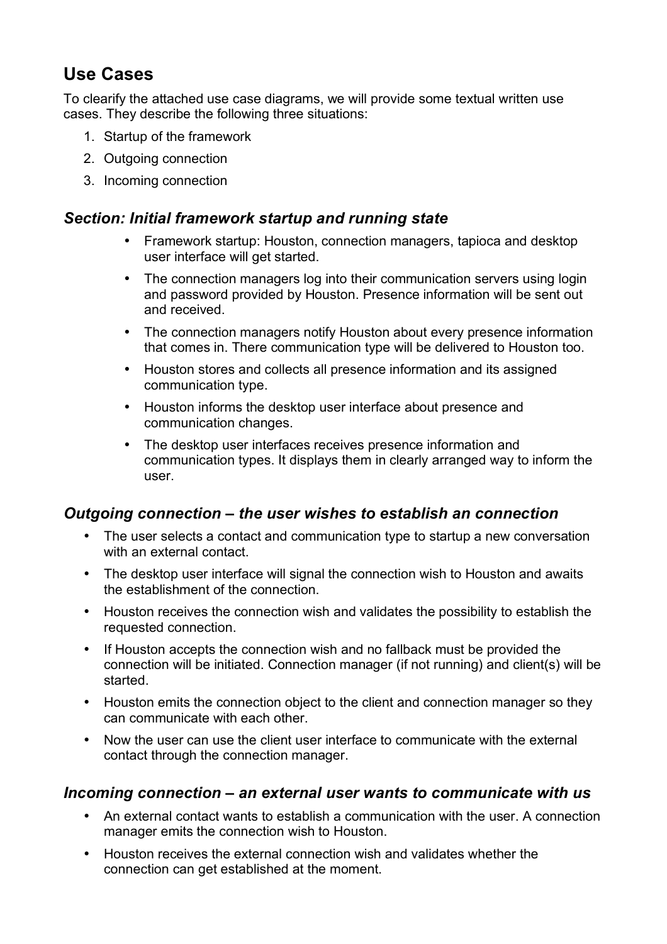# **Use Cases**

To clearify the attached use case diagrams, we will provide some textual written use cases. They describe the following three situations:

- 1. Startup of the framework
- 2. Outgoing connection
- 3. Incoming connection

#### *Section: Initial framework startup and running state*

- Framework startup: Houston, connection managers, tapioca and desktop user interface will get started.
- The connection managers log into their communication servers using login and password provided by Houston. Presence information will be sent out and received.
- The connection managers notify Houston about every presence information that comes in. There communication type will be delivered to Houston too.
- Houston stores and collects all presence information and its assigned communication type.
- Houston informs the desktop user interface about presence and communication changes.
- The desktop user interfaces receives presence information and communication types. It displays them in clearly arranged way to inform the user.

#### *Outgoing connection – the user wishes to establish an connection*

- The user selects a contact and communication type to startup a new conversation with an external contact.
- The desktop user interface will signal the connection wish to Houston and awaits the establishment of the connection.
- Houston receives the connection wish and validates the possibility to establish the requested connection.
- If Houston accepts the connection wish and no fallback must be provided the connection will be initiated. Connection manager (if not running) and client(s) will be started.
- Houston emits the connection object to the client and connection manager so they can communicate with each other.
- Now the user can use the client user interface to communicate with the external contact through the connection manager.

#### *Incoming connection – an external user wants to communicate with us*

- An external contact wants to establish a communication with the user. A connection manager emits the connection wish to Houston.
- Houston receives the external connection wish and validates whether the connection can get established at the moment.